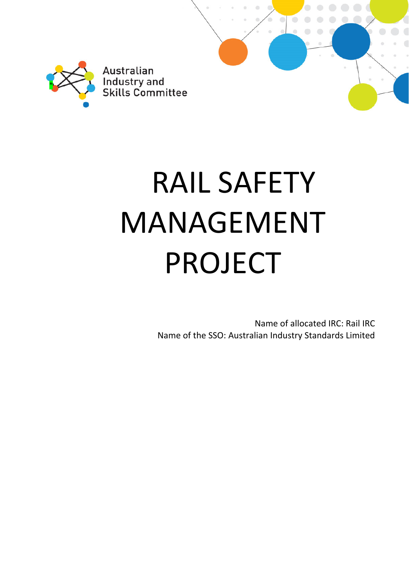

# RAIL SAFETY MANAGEMENT PROJECT

Name of allocated IRC: Rail IRC Name of the SSO: Australian Industry Standards Limited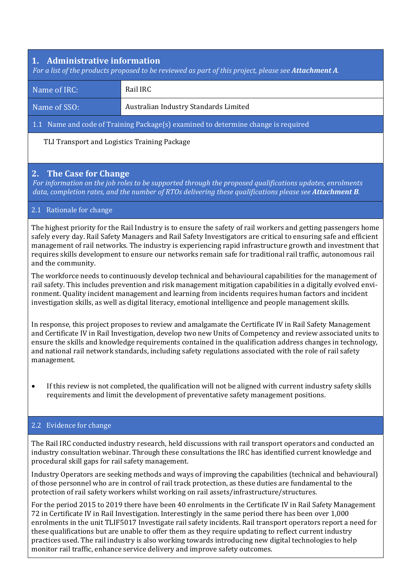# **1. Administrative information**

For a list of the products proposed to be reviewed as part of this project, please see Attachment A.

| Name of IRC:                                                                      | Rail IRC                              |  |  |  |
|-----------------------------------------------------------------------------------|---------------------------------------|--|--|--|
| Name of SSO:                                                                      | Australian Industry Standards Limited |  |  |  |
| 1.1 Name and code of Training Package(s) examined to determine change is required |                                       |  |  |  |

TLI Transport and Logistics Training Package

## **2. The Case for Change**

*For information on the job roles to be supported through the proposed qualifications updates, enrolments data, completion rates, and the number of RTOs delivering these qualifications please see Attachment B.*

#### 2.1 Rationale for change

The highest priority for the Rail Industry is to ensure the safety of rail workers and getting passengers home safely every day. Rail Safety Managers and Rail Safety Investigators are critical to ensuring safe and efficient management of rail networks. The industry is experiencing rapid infrastructure growth and investment that requires skills development to ensure our networks remain safe for traditional rail traffic, autonomous rail and the community.

The workforce needs to continuously develop technical and behavioural capabilities for the management of rail safety. This includes prevention and risk management mitigation capabilities in a digitally evolved environment. Quality incident management and learning from incidents requires human factors and incident investigation skills, as well as digital literacy, emotional intelligence and people management skills.

In response, this project proposes to review and amalgamate the Certificate IV in Rail Safety Management and Certificate IV in Rail Investigation, develop two new Units of Competency and review associated units to ensure the skills and knowledge requirements contained in the qualification address changes in technology, and national rail network standards, including safety regulations associated with the role of rail safety management.

 If this review is not completed, the qualification will not be aligned with current industry safety skills requirements and limit the development of preventative safety management positions.

#### 2.2 Evidence for change

The Rail IRC conducted industry research, held discussions with rail transport operators and conducted an industry consultation webinar. Through these consultations the IRC has identified current knowledge and procedural skill gaps for rail safety management.

Industry Operators are seeking methods and ways of improving the capabilities (technical and behavioural) of those personnel who are in control of rail track protection, as these duties are fundamental to the protection of rail safety workers whilst working on rail assets/infrastructure/structures.

For the period 2015 to 2019 there have been 40 enrolments in the Certificate IV in Rail Safety Management 72 in Certificate IV in Rail Investigation. Interestingly in the same period there has been over 1,000 enrolments in the unit TLIF5017 Investigate rail safety incidents. Rail transport operators report a need for these qualifications but are unable to offer them as they require updating to reflect current industry practices used. The rail industry is also working towards introducing new digital technologies to help monitor rail traffic, enhance service delivery and improve safety outcomes.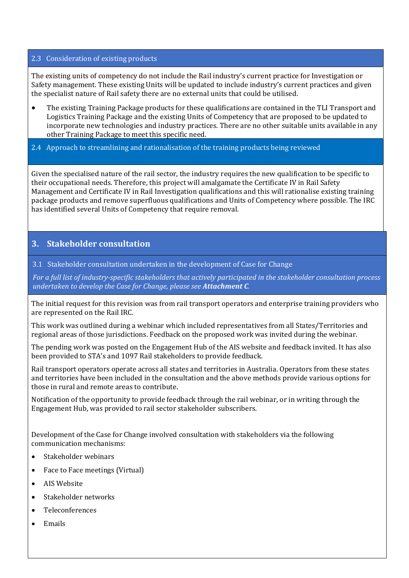#### 2.3 Consideration of existing products

The existing units of competency do not include the Rail industry's current practice for Investigation or Safety management. These existing Units will be updated to include industry's current practices and given the specialist nature of Rail safety there are no external units that could be utilised.

 The existing Training Package products for these qualifications are contained in the TLI Transport and Logistics Training Package and the existing Units of Competency that are proposed to be updated to incorporate new technologies and industry practices. There are no other suitable units available in any other Training Package to meet this specific need.

## 2.4 Approach to streamlining and rationalisation of the training products being reviewed

Given the specialised nature of the rail sector, the industry requires the new qualification to be specific to their occupational needs. Therefore, this project will amalgamate the Certificate IV in Rail Safety Management and Certificate IV in Rail Investigation qualifications and this will rationalise existing training package products and remove superfluous qualifications and Units of Competency where possible. The IRC has identified several Units of Competency that require removal.

# **3. Stakeholder consultation**

3.1 Stakeholder consultation undertaken in the development of Case for Change

For a full list of industry-specific stakeholders that actively participated in the stakeholder consultation process *undertaken to develop the Case for Change, please see Attachment C.*

The initial request for this revision was from rail transport operators and enterprise training providers who are represented on the Rail IRC.

This work was outlined during a webinar which included representatives from all States/Territories and regional areas of those jurisdictions. Feedback on the proposed work was invited during the webinar.

The pending work was posted on the Engagement Hub of the AIS website and feedback invited. It has also been provided to STA's and 1097 Rail stakeholders to provide feedback.

Rail transport operators operate across all states and territories in Australia. Operators from these states and territories have been included in the consultation and the above methods provide various options for those in rural and remote areas to contribute.

Notification of the opportunity to provide feedback through the rail webinar, or in writing through the Engagement Hub, was provided to rail sector stakeholder subscribers.

Development of the Case for Change involved consultation with stakeholders via the following communication mechanisms:

- Stakeholder webinars
- Face to Face meetings (Virtual)
- AIS Website
- Stakeholder networks
- Teleconferences
- **Emails**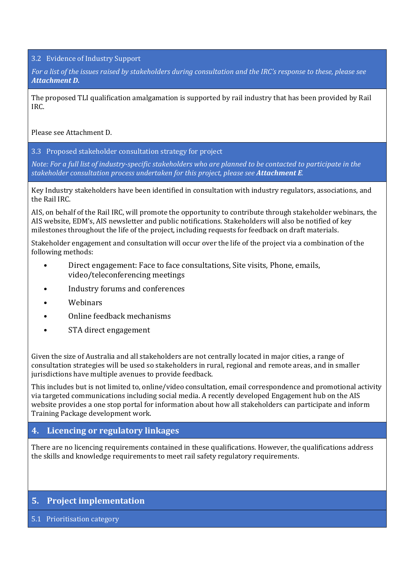3.2 Evidence of Industry Support

For a list of the issues raised by stakeholders during consultation and the IRC's response to these, please see *Attachment D.*

The proposed TLI qualification amalgamation is supported by rail industry that has been provided by Rail IRC.

Please see Attachment D.

3.3 Proposed stakeholder consultation strategy for project

Note: For a full list of industry-specific stakeholders who are planned to be contacted to participate in the *stakeholder consultation process undertaken for this project, please see Attachment E.*

Key Industry stakeholders have been identified in consultation with industry regulators, associations, and the Rail IRC.

AIS, on behalf of the Rail IRC, will promote the opportunity to contribute through stakeholder webinars, the AIS website, EDM's, AIS newsletter and public notifications. Stakeholders will also be notified of key milestones throughout the life of the project, including requests for feedback on draft materials.

Stakeholder engagement and consultation will occur over the life of the project via a combination of the following methods:

- Direct engagement: Face to face consultations, Site visits, Phone, emails, video/teleconferencing meetings
- Industry forums and conferences
- Webinars
- Online feedback mechanisms
- STA direct engagement

Given the size of Australia and all stakeholders are not centrally located in major cities, a range of consultation strategies will be used so stakeholders in rural, regional and remote areas, and in smaller jurisdictions have multiple avenues to provide feedback.

This includes but is not limited to, online/video consultation, email correspondence and promotional activity via targeted communications including social media. A recently developed Engagement hub on the AIS website provides a one stop portal for information about how all stakeholders can participate and inform Training Package development work.

# **4. Licencing or regulatory linkages**

There are no licencing requirements contained in these qualifications. However, the qualifications address the skills and knowledge requirements to meet rail safety regulatory requirements.

# **5.** Project implementation

5.1 Prioritisation category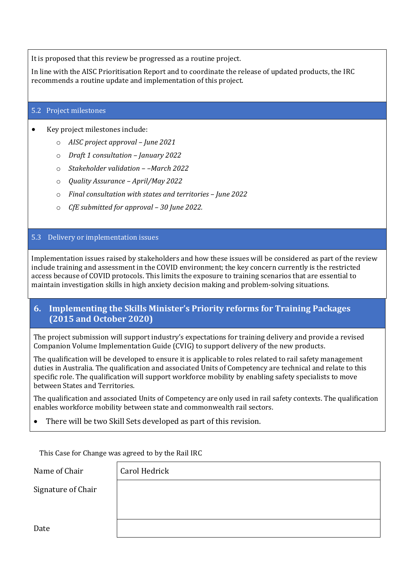It is proposed that this review be progressed as a routine project.

In line with the AISC Prioritisation Report and to coordinate the release of updated products, the IRC recommends a routine update and implementation of this project.

#### 5.2 Project milestones

Key project milestones include:

- o *AISC project approval – June 2021*
- o *Draft 1 consultation – January 2022*
- o *Stakeholder validation – –March 2022*
- o *Quality Assurance – April/May 2022*
- o *Final consultation with states and territories – June 2022*
- o *CfE submitted for approval – 30 June 2022.*

## 5.3 Delivery or implementation issues

Implementation issues raised by stakeholders and how these issues will be considered as part of the review include training and assessment in the COVID environment; the key concern currently is the restricted access because of COVID protocols. This limits the exposure to training scenarios that are essential to maintain investigation skills in high anxiety decision making and problem-solving situations.

## **6. Implementing the Skills Minister's Priority reforms for Training Packages (2015 and October 2020)**

The project submission will support industry's expectations for training delivery and provide a revised Companion Volume Implementation Guide (CVIG) to support delivery of the new products.

The qualification will be developed to ensure it is applicable to roles related to rail safety management duties in Australia. The qualification and associated Units of Competency are technical and relate to this specific role. The qualification will support workforce mobility by enabling safety specialists to move between States and Territories.

The qualification and associated Units of Competency are only used in rail safety contexts. The qualification enables workforce mobility between state and commonwealth rail sectors.

There will be two Skill Sets developed as part of this revision.

This Case for Change was agreed to by the Rail IRC

| This case for change was agreed to by the Kail IKC |               |  |  |  |
|----------------------------------------------------|---------------|--|--|--|
| Name of Chair                                      | Carol Hedrick |  |  |  |
| Signature of Chair                                 |               |  |  |  |
|                                                    |               |  |  |  |
| Date                                               |               |  |  |  |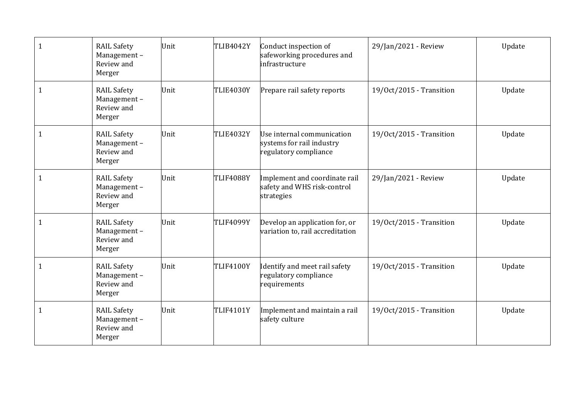| 1 | <b>RAIL Safety</b><br>Management-<br>Review and<br>Merger | Unit | TLIB4042Y        | Conduct inspection of<br>safeworking procedures and<br>infrastructure            | 29/Jan/2021 - Review     | Update |
|---|-----------------------------------------------------------|------|------------------|----------------------------------------------------------------------------------|--------------------------|--------|
| 1 | <b>RAIL Safety</b><br>Management-<br>Review and<br>Merger | Unit | <b>TLIE4030Y</b> | Prepare rail safety reports                                                      | 19/0ct/2015 - Transition | Update |
| 1 | <b>RAIL Safety</b><br>Management-<br>Review and<br>Merger | Unit | <b>TLIE4032Y</b> | Use internal communication<br>systems for rail industry<br>regulatory compliance | 19/Oct/2015 - Transition | Update |
| 1 | <b>RAIL Safety</b><br>Management-<br>Review and<br>Merger | Unit | <b>TLIF4088Y</b> | Implement and coordinate rail<br>safety and WHS risk-control<br>strategies       | 29/Jan/2021 - Review     | Update |
| 1 | <b>RAIL Safety</b><br>Management-<br>Review and<br>Merger | Unit | <b>TLIF4099Y</b> | Develop an application for, or<br>variation to, rail accreditation               | 19/0ct/2015 - Transition | Update |
| 1 | <b>RAIL Safety</b><br>Management-<br>Review and<br>Merger | Unit | <b>TLIF4100Y</b> | Identify and meet rail safety<br>regulatory compliance<br>requirements           | 19/Oct/2015 - Transition | Update |
| 1 | <b>RAIL Safety</b><br>Management-<br>Review and<br>Merger | Unit | <b>TLIF4101Y</b> | Implement and maintain a rail<br>safety culture                                  | 19/Oct/2015 - Transition | Update |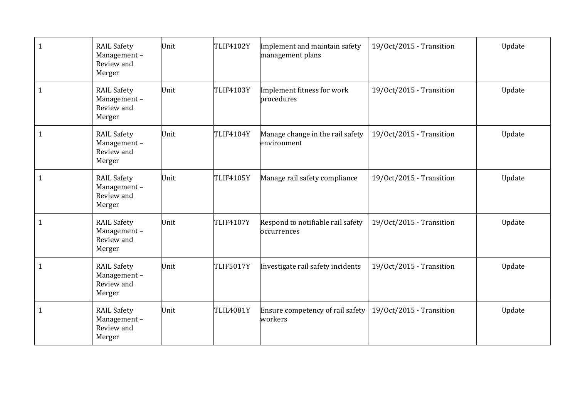| 1 | <b>RAIL Safety</b><br>Management-<br>Review and<br>Merger | Unit | <b>TLIF4102Y</b> | Implement and maintain safety<br>management plans | 19/0ct/2015 - Transition | Update |
|---|-----------------------------------------------------------|------|------------------|---------------------------------------------------|--------------------------|--------|
| 1 | <b>RAIL Safety</b><br>Management-<br>Review and<br>Merger | Unit | <b>TLIF4103Y</b> | Implement fitness for work<br>procedures          | 19/0ct/2015 - Transition | Update |
| 1 | <b>RAIL Safety</b><br>Management-<br>Review and<br>Merger | Unit | <b>TLIF4104Y</b> | Manage change in the rail safety<br>environment   | 19/0ct/2015 - Transition | Update |
| 1 | <b>RAIL Safety</b><br>Management-<br>Review and<br>Merger | Unit | <b>TLIF4105Y</b> | Manage rail safety compliance                     | 19/0ct/2015 - Transition | Update |
| 1 | <b>RAIL Safety</b><br>Management-<br>Review and<br>Merger | Unit | <b>TLIF4107Y</b> | Respond to notifiable rail safety<br>occurrences  | 19/0ct/2015 - Transition | Update |
| 1 | <b>RAIL Safety</b><br>Management-<br>Review and<br>Merger | Unit | <b>TLIF5017Y</b> | Investigate rail safety incidents                 | 19/Oct/2015 - Transition | Update |
| 1 | <b>RAIL Safety</b><br>Management-<br>Review and<br>Merger | Unit | <b>TLIL4081Y</b> | Ensure competency of rail safety<br>workers       | 19/Oct/2015 - Transition | Update |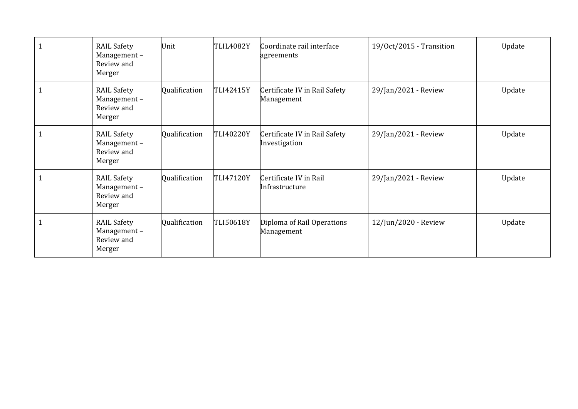| <b>RAIL Safety</b><br>Management-<br>Review and<br>Merger | Unit          | <b>TLIL4082Y</b> | Coordinate rail interface<br>agreements        | 19/Oct/2015 - Transition | Update |
|-----------------------------------------------------------|---------------|------------------|------------------------------------------------|--------------------------|--------|
| <b>RAIL Safety</b><br>Management-<br>Review and<br>Merger | Qualification | TLI42415Y        | Certificate IV in Rail Safety<br>Management    | 29/Jan/2021 - Review     | Update |
| <b>RAIL Safety</b><br>Management-<br>Review and<br>Merger | Qualification | <b>TLI40220Y</b> | Certificate IV in Rail Safety<br>Investigation | 29/Jan/2021 - Review     | Update |
| <b>RAIL Safety</b><br>Management-<br>Review and<br>Merger | Qualification | <b>TLI47120Y</b> | Certificate IV in Rail<br>Infrastructure       | 29/Jan/2021 - Review     | Update |
| <b>RAIL Safety</b><br>Management-<br>Review and<br>Merger | Qualification | <b>TLI50618Y</b> | Diploma of Rail Operations<br>Management       | 12/Jun/2020 - Review     | Update |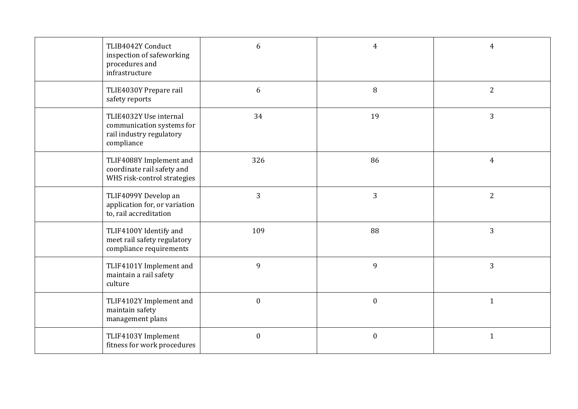| TLIB4042Y Conduct<br>inspection of safeworking<br>procedures and<br>infrastructure            | 6                | $\overline{4}$   | $\overline{4}$ |
|-----------------------------------------------------------------------------------------------|------------------|------------------|----------------|
| TLIE4030Y Prepare rail<br>safety reports                                                      | 6                | $\, 8$           | $\overline{2}$ |
| TLIE4032Y Use internal<br>communication systems for<br>rail industry regulatory<br>compliance | 34               | 19               | $\overline{3}$ |
| TLIF4088Y Implement and<br>coordinate rail safety and<br>WHS risk-control strategies          | 326              | 86               | $\overline{4}$ |
| TLIF4099Y Develop an<br>application for, or variation<br>to, rail accreditation               | 3                | 3                | $\overline{2}$ |
| TLIF4100Y Identify and<br>meet rail safety regulatory<br>compliance requirements              | 109              | 88               | 3              |
| TLIF4101Y Implement and<br>maintain a rail safety<br>culture                                  | 9                | $\mathbf{9}$     | 3              |
| TLIF4102Y Implement and<br>maintain safety<br>management plans                                | $\boldsymbol{0}$ | $\boldsymbol{0}$ | $\mathbf{1}$   |
| TLIF4103Y Implement<br>fitness for work procedures                                            | $\boldsymbol{0}$ | $\boldsymbol{0}$ | $\mathbf{1}$   |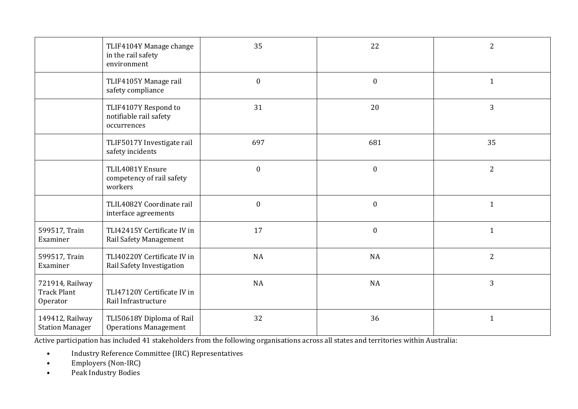|                                                   | TLIF4104Y Manage change<br>in the rail safety<br>environment  | 35               | 22               | $\overline{2}$ |
|---------------------------------------------------|---------------------------------------------------------------|------------------|------------------|----------------|
|                                                   | TLIF4105Y Manage rail<br>safety compliance                    | $\boldsymbol{0}$ | $\boldsymbol{0}$ | $\mathbf{1}$   |
|                                                   | TLIF4107Y Respond to<br>notifiable rail safety<br>occurrences | 31               | 20               | 3              |
|                                                   | TLIF5017Y Investigate rail<br>safety incidents                | 697              | 681              | 35             |
|                                                   | TLIL4081Y Ensure<br>competency of rail safety<br>workers      | $\boldsymbol{0}$ | $\boldsymbol{0}$ | $\overline{2}$ |
|                                                   | TLIL4082Y Coordinate rail<br>interface agreements             | $\boldsymbol{0}$ | $\boldsymbol{0}$ | $\mathbf{1}$   |
| 599517, Train<br>Examiner                         | TLI42415Y Certificate IV in<br>Rail Safety Management         | 17               | $\boldsymbol{0}$ | $\mathbf{1}$   |
| 599517, Train<br>Examiner                         | TLI40220Y Certificate IV in<br>Rail Safety Investigation      | NA               | <b>NA</b>        | $\overline{2}$ |
| 721914, Railway<br><b>Track Plant</b><br>Operator | TLI47120Y Certificate IV in<br>Rail Infrastructure            | NA               | NA               | 3              |
| 149412, Railway<br><b>Station Manager</b>         | TLI50618Y Diploma of Rail<br><b>Operations Management</b>     | 32               | 36               | $\mathbf{1}$   |

Active participation has included 41 stakeholders from the following organisations across all states and territories within Australia:

- •Industry Reference Committee (IRC) Representatives
- •Employers (Non-IRC)
- •Peak Industry Bodies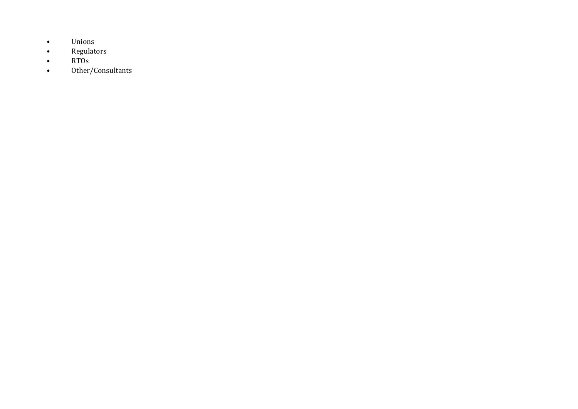- •Unions
- •Regulators
- •RTOs
- •Other/Consultants